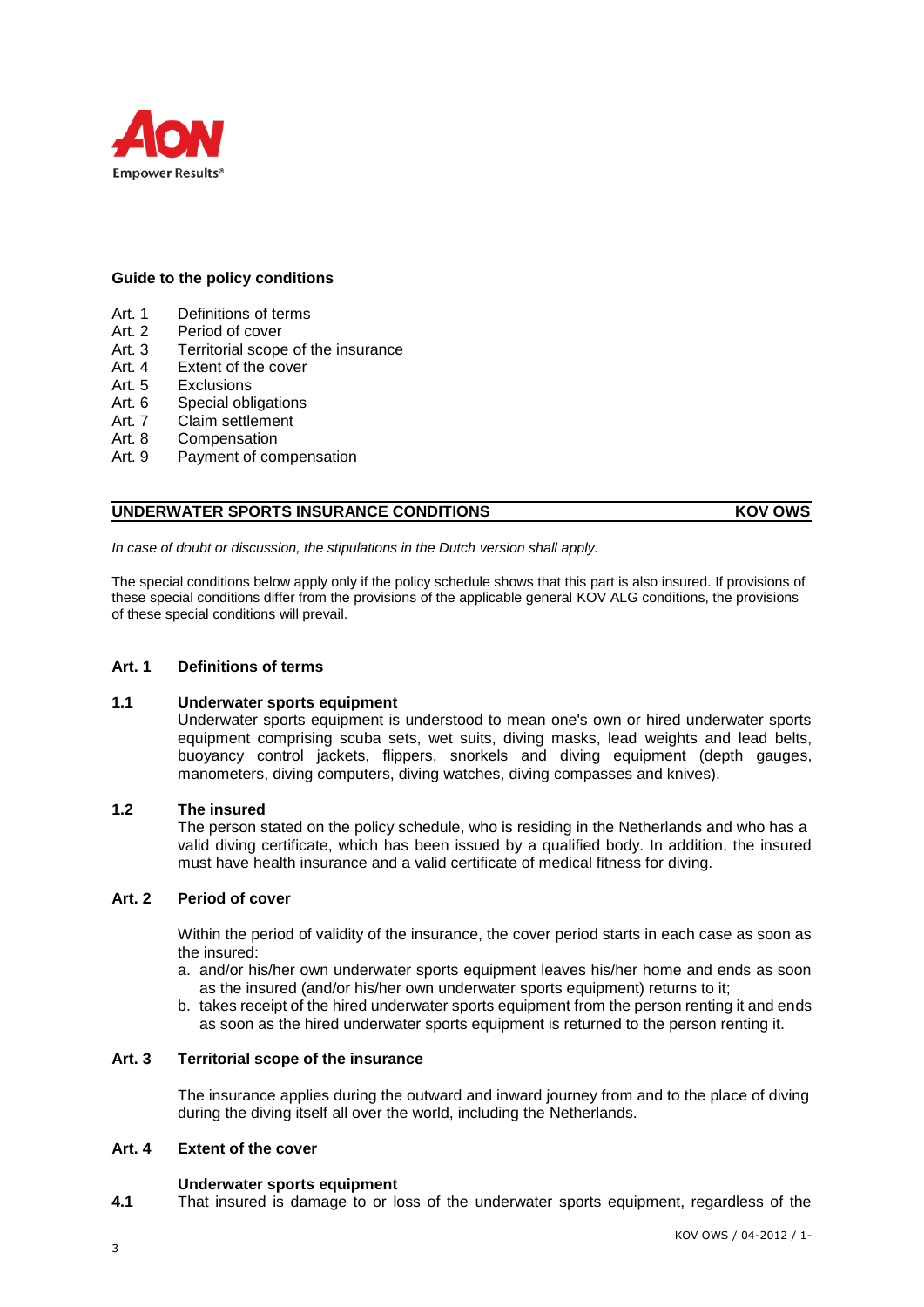

# **Guide to the policy conditions**

- Art. 1 Definitions of terms
- Art. 2 Period of cover<br>Art. 3 Territorial scope
- Art. 3 Territorial scope of the insurance<br>Art. 4 Extent of the cover
- Extent of the cover
- 
- Art. 5 Exclusions<br>Art 6 Special obl Special obligations
- Art. 7 Claim settlement
- Art. 8 Compensation
- Art. 9 Payment of compensation

# **UNDERWATER SPORTS INSURANCE CONDITIONS AND RESIDENT COVID MOVING WAS ABOVE ON STATE OF A STATE OF A STATE OF A STATE OF A STATE OF A STATE OF A STATE OF A STATE OF A STATE OF A STATE OF A STATE OF A STATE OF A STATE OF A**

*In case of doubt or discussion, the stipulations in the Dutch version shall apply.*

The special conditions below apply only if the policy schedule shows that this part is also insured. If provisions of these special conditions differ from the provisions of the applicable general KOV ALG conditions, the provisions of these special conditions will prevail.

# **Art. 1 Definitions of terms**

# **1.1 Underwater sports equipment**

Underwater sports equipment is understood to mean one's own or hired underwater sports equipment comprising scuba sets, wet suits, diving masks, lead weights and lead belts, buoyancy control jackets, flippers, snorkels and diving equipment (depth gauges, manometers, diving computers, diving watches, diving compasses and knives).

# **1.2 The insured**

The person stated on the policy schedule, who is residing in the Netherlands and who has a valid diving certificate, which has been issued by a qualified body. In addition, the insured must have health insurance and a valid certificate of medical fitness for diving.

# **Art. 2 Period of cover**

Within the period of validity of the insurance, the cover period starts in each case as soon as the insured:

- a. and/or his/her own underwater sports equipment leaves his/her home and ends as soon as the insured (and/or his/her own underwater sports equipment) returns to it;
- b. takes receipt of the hired underwater sports equipment from the person renting it and ends as soon as the hired underwater sports equipment is returned to the person renting it.

# **Art. 3 Territorial scope of the insurance**

The insurance applies during the outward and inward journey from and to the place of diving during the diving itself all over the world, including the Netherlands.

# **Art. 4 Extent of the cover**

# **Underwater sports equipment**

**4.1** That insured is damage to or loss of the underwater sports equipment, regardless of the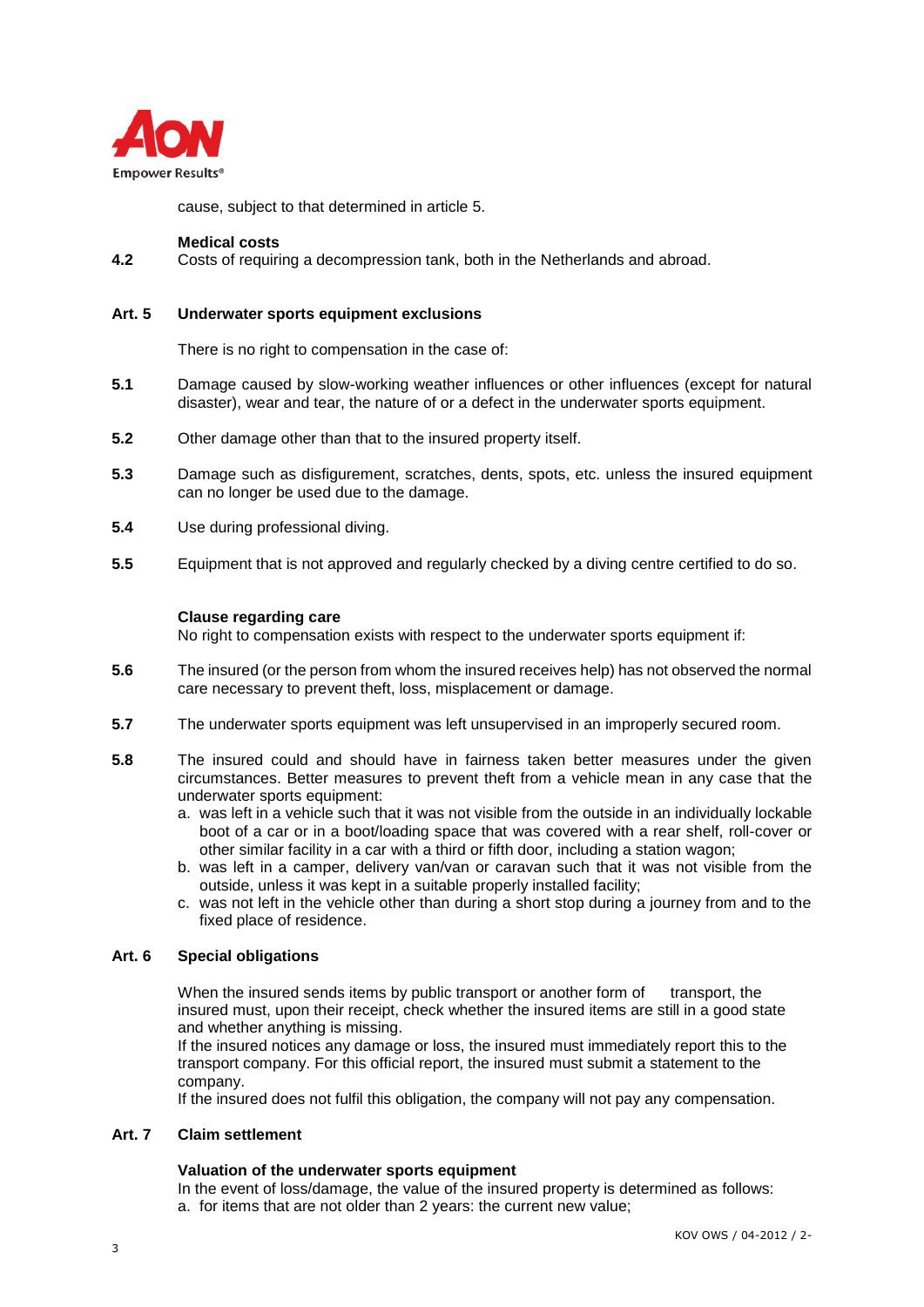

cause, subject to that determined in article 5.

### **Medical costs**

**4.2** Costs of requiring a decompression tank, both in the Netherlands and abroad.

# **Art. 5 Underwater sports equipment exclusions**

There is no right to compensation in the case of:

- **5.1** Damage caused by slow-working weather influences or other influences (except for natural disaster), wear and tear, the nature of or a defect in the underwater sports equipment.
- **5.2** Other damage other than that to the insured property itself.
- **5.3** Damage such as disfigurement, scratches, dents, spots, etc. unless the insured equipment can no longer be used due to the damage.
- **5.4** Use during professional diving.
- **5.5** Equipment that is not approved and regularly checked by a diving centre certified to do so.

# **Clause regarding care**

No right to compensation exists with respect to the underwater sports equipment if:

- **5.6** The insured (or the person from whom the insured receives help) has not observed the normal care necessary to prevent theft, loss, misplacement or damage.
- **5.7** The underwater sports equipment was left unsupervised in an improperly secured room.
- **5.8** The insured could and should have in fairness taken better measures under the given circumstances. Better measures to prevent theft from a vehicle mean in any case that the underwater sports equipment:
	- a. was left in a vehicle such that it was not visible from the outside in an individually lockable boot of a car or in a boot/loading space that was covered with a rear shelf, roll-cover or other similar facility in a car with a third or fifth door, including a station wagon;
	- b. was left in a camper, delivery van/van or caravan such that it was not visible from the outside, unless it was kept in a suitable properly installed facility;
	- c. was not left in the vehicle other than during a short stop during a journey from and to the fixed place of residence.

# **Art. 6 Special obligations**

When the insured sends items by public transport or another form of transport, the insured must, upon their receipt, check whether the insured items are still in a good state and whether anything is missing.

If the insured notices any damage or loss, the insured must immediately report this to the transport company. For this official report, the insured must submit a statement to the company.

If the insured does not fulfil this obligation, the company will not pay any compensation.

# **Art. 7 Claim settlement**

# **Valuation of the underwater sports equipment**

In the event of loss/damage, the value of the insured property is determined as follows: a. for items that are not older than 2 years: the current new value;